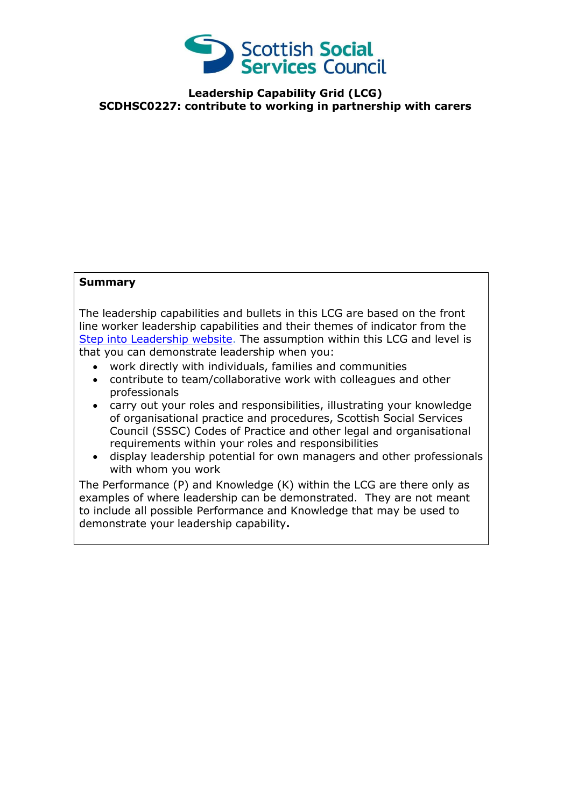

**Leadership Capability Grid (LCG) SCDHSC0227: contribute to working in partnership with carers**

## **Summary**

The leadership capabilities and bullets in this LCG are based on the front line worker leadership capabilities and their themes of indicator from the [Step into Leadership website.](http://www.stepintoleadership.info/) The assumption within this LCG and level is that you can demonstrate leadership when you:

- work directly with individuals, families and communities
- contribute to team/collaborative work with colleagues and other professionals
- carry out your roles and responsibilities, illustrating your knowledge of organisational practice and procedures, Scottish Social Services Council (SSSC) Codes of Practice and other legal and organisational requirements within your roles and responsibilities
- display leadership potential for own managers and other professionals with whom you work

The Performance (P) and Knowledge (K) within the LCG are there only as examples of where leadership can be demonstrated. They are not meant to include all possible Performance and Knowledge that may be used to demonstrate your leadership capability**.**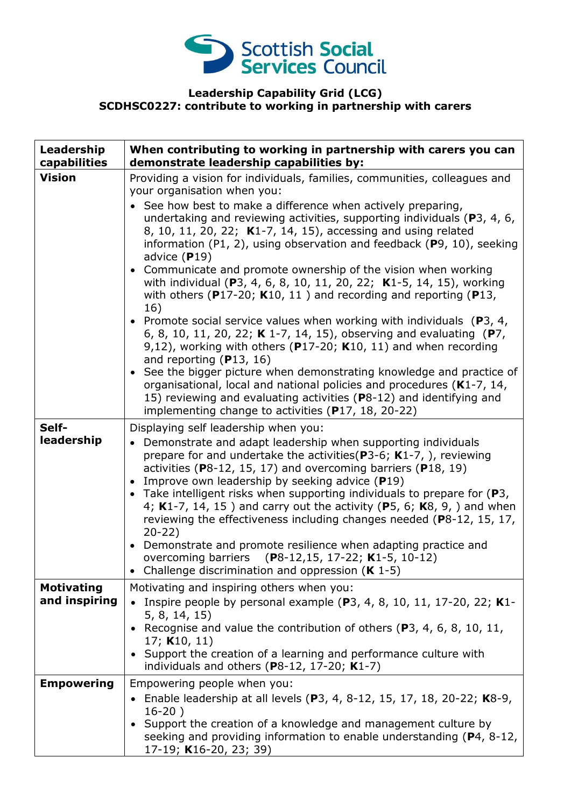

## **Leadership Capability Grid (LCG) SCDHSC0227: contribute to working in partnership with carers**

| Leadership<br>capabilities         | When contributing to working in partnership with carers you can<br>demonstrate leadership capabilities by:                                                                                                                                                                                                                                                                                                                                                                                                                                                                                                                                                                                        |
|------------------------------------|---------------------------------------------------------------------------------------------------------------------------------------------------------------------------------------------------------------------------------------------------------------------------------------------------------------------------------------------------------------------------------------------------------------------------------------------------------------------------------------------------------------------------------------------------------------------------------------------------------------------------------------------------------------------------------------------------|
| <b>Vision</b>                      | Providing a vision for individuals, families, communities, colleagues and<br>your organisation when you:                                                                                                                                                                                                                                                                                                                                                                                                                                                                                                                                                                                          |
|                                    | See how best to make a difference when actively preparing,<br>undertaking and reviewing activities, supporting individuals ( $P_3$ , 4, 6,<br>8, 10, 11, 20, 22; K1-7, 14, 15), accessing and using related<br>information (P1, 2), using observation and feedback (P9, 10), seeking<br>advice $(P19)$<br>• Communicate and promote ownership of the vision when working<br>with individual (P3, 4, 6, 8, 10, 11, 20, 22; K1-5, 14, 15), working<br>with others ( $P17-20$ ; K10, 11) and recording and reporting ( $P13$ ,<br>16)                                                                                                                                                                |
|                                    | • Promote social service values when working with individuals ( $P_3$ , 4,<br>6, 8, 10, 11, 20, 22; K 1-7, 14, 15), observing and evaluating (P7,<br>9,12), working with others ( $P17-20$ ; K10, 11) and when recording<br>and reporting $(P13, 16)$                                                                                                                                                                                                                                                                                                                                                                                                                                             |
|                                    | • See the bigger picture when demonstrating knowledge and practice of<br>organisational, local and national policies and procedures (K1-7, 14,<br>15) reviewing and evaluating activities (P8-12) and identifying and<br>implementing change to activities (P17, 18, 20-22)                                                                                                                                                                                                                                                                                                                                                                                                                       |
| Self-                              | Displaying self leadership when you:                                                                                                                                                                                                                                                                                                                                                                                                                                                                                                                                                                                                                                                              |
| leadership                         | • Demonstrate and adapt leadership when supporting individuals<br>prepare for and undertake the activities (P3-6; $K1-7$ , ), reviewing<br>activities ( $P8-12$ , 15, 17) and overcoming barriers ( $P18$ , 19)<br>• Improve own leadership by seeking advice (P19)<br>• Take intelligent risks when supporting individuals to prepare for $(P3, P3)$<br>4; K1-7, 14, 15) and carry out the activity (P5, 6; K8, 9, ) and when<br>reviewing the effectiveness including changes needed (P8-12, 15, 17,<br>$20 - 22$<br>• Demonstrate and promote resilience when adapting practice and<br>overcoming barriers (P8-12,15, 17-22; K1-5, 10-12)<br>Challenge discrimination and oppression $(K 1-5)$ |
| <b>Motivating</b><br>and inspiring | Motivating and inspiring others when you:<br>• Inspire people by personal example (P3, 4, 8, 10, 11, 17-20, 22; K1-<br>5, 8, 14, 15)<br>• Recognise and value the contribution of others (P3, 4, 6, 8, 10, 11,                                                                                                                                                                                                                                                                                                                                                                                                                                                                                    |
|                                    | 17; $K10, 11$<br>• Support the creation of a learning and performance culture with<br>individuals and others ( $P8-12$ , 17-20; $K1-7$ )                                                                                                                                                                                                                                                                                                                                                                                                                                                                                                                                                          |
| <b>Empowering</b>                  | Empowering people when you:<br>• Enable leadership at all levels (P3, 4, 8-12, 15, 17, 18, 20-22; K8-9,<br>$16-20)$<br>Support the creation of a knowledge and management culture by<br>$\bullet$<br>seeking and providing information to enable understanding $(P4, 8-12,$<br>17-19; K16-20, 23; 39)                                                                                                                                                                                                                                                                                                                                                                                             |